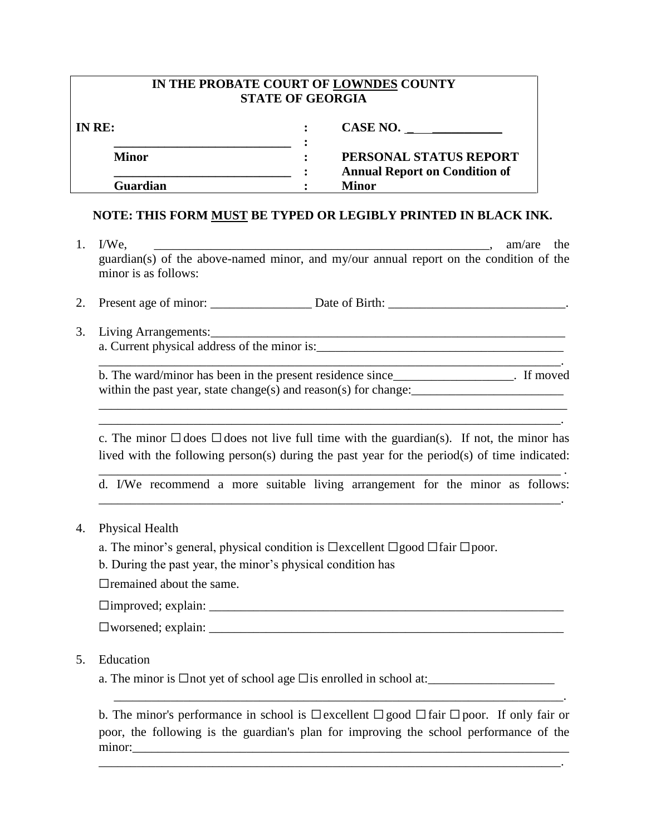| IN THE PROBATE COURT OF LOWNDES COUNTY<br><b>STATE OF GEORGIA</b> |                                                      |  |  |  |  |  |  |  |
|-------------------------------------------------------------------|------------------------------------------------------|--|--|--|--|--|--|--|
| IN RE:                                                            | CASE NO.                                             |  |  |  |  |  |  |  |
| <b>Minor</b>                                                      | PERSONAL STATUS REPORT                               |  |  |  |  |  |  |  |
| Guardian                                                          | <b>Annual Report on Condition of</b><br><b>Minor</b> |  |  |  |  |  |  |  |

## **NOTE: THIS FORM MUST BE TYPED OR LEGIBLY PRINTED IN BLACK INK.**

- 1.  $I/We$ , am/are the guardian(s) of the above-named minor, and my/our annual report on the condition of the minor is as follows:
- 2. Present age of minor: Date of Birth:  $\Box$
- 3. Living Arrangements: a. Current physical address of the minor is:\_\_\_\_\_\_\_\_\_\_\_\_\_\_\_\_\_\_\_\_\_\_\_\_\_\_\_\_\_\_\_\_\_\_\_\_\_\_\_

b. The ward/minor has been in the present residence since\_\_\_\_\_\_\_\_\_\_\_\_\_\_\_\_\_\_\_. If moved within the past year, state change(s) and reason(s) for change:

\_\_\_\_\_\_\_\_\_\_\_\_\_\_\_\_\_\_\_\_\_\_\_\_\_\_\_\_\_\_\_\_\_\_\_\_\_\_\_\_\_\_\_\_\_\_\_\_\_\_\_\_\_\_\_\_\_\_\_\_\_\_\_\_\_\_\_\_\_\_\_\_\_\_ \_\_\_\_\_\_\_\_\_\_\_\_\_\_\_\_\_\_\_\_\_\_\_\_\_\_\_\_\_\_\_\_\_\_\_\_\_\_\_\_\_\_\_\_\_\_\_\_\_\_\_\_\_\_\_\_\_\_\_\_\_\_\_\_\_\_\_\_\_\_\_\_\_.

\_\_\_\_\_\_\_\_\_\_\_\_\_\_\_\_\_\_\_\_\_\_\_\_\_\_\_\_\_\_\_\_\_\_\_\_\_\_\_\_\_\_\_\_\_\_\_\_\_\_\_\_\_\_\_\_\_\_\_\_\_\_\_\_\_\_\_\_\_\_\_\_\_.

c. The minor  $\Box$  does  $\Box$  does not live full time with the guardian(s). If not, the minor has lived with the following person(s) during the past year for the period(s) of time indicated:

\_\_\_\_\_\_\_\_\_\_\_\_\_\_\_\_\_\_\_\_\_\_\_\_\_\_\_\_\_\_\_\_\_\_\_\_\_\_\_\_\_\_\_\_\_\_\_\_\_\_\_\_\_\_\_\_\_\_\_\_\_\_\_\_\_\_\_\_\_\_\_\_\_ . d. I/We recommend a more suitable living arrangement for the minor as follows: \_\_\_\_\_\_\_\_\_\_\_\_\_\_\_\_\_\_\_\_\_\_\_\_\_\_\_\_\_\_\_\_\_\_\_\_\_\_\_\_\_\_\_\_\_\_\_\_\_\_\_\_\_\_\_\_\_\_\_\_\_\_\_\_\_\_\_\_\_\_\_\_\_.

- 4. Physical Health
	- a. The minor's general, physical condition is  $\Box$ excellent  $\Box$ good  $\Box$ fair  $\Box$ poor.
	- b. During the past year, the minor's physical condition has

 $\Box$ remained about the same.

☐improved; explain: \_\_\_\_\_\_\_\_\_\_\_\_\_\_\_\_\_\_\_\_\_\_\_\_\_\_\_\_\_\_\_\_\_\_\_\_\_\_\_\_\_\_\_\_\_\_\_\_\_\_\_\_\_\_\_\_

 $\square$ worsened; explain:

## 5. Education

a. The minor is  $\Box$ not yet of school age  $\Box$ is enrolled in school at:

b. The minor's performance in school is  $\Box$ excellent  $\Box$ good  $\Box$ fair  $\Box$ poor. If only fair or poor, the following is the guardian's plan for improving the school performance of the minor:

\_\_\_\_\_\_\_\_\_\_\_\_\_\_\_\_\_\_\_\_\_\_\_\_\_\_\_\_\_\_\_\_\_\_\_\_\_\_\_\_\_\_\_\_\_\_\_\_\_\_\_\_\_\_\_\_\_\_\_\_\_\_\_\_\_\_\_\_\_\_\_\_\_.

\_\_\_\_\_\_\_\_\_\_\_\_\_\_\_\_\_\_\_\_\_\_\_\_\_\_\_\_\_\_\_\_\_\_\_\_\_\_\_\_\_\_\_\_\_\_\_\_\_\_\_\_\_\_\_\_\_\_\_\_\_\_\_\_\_\_\_\_\_\_\_.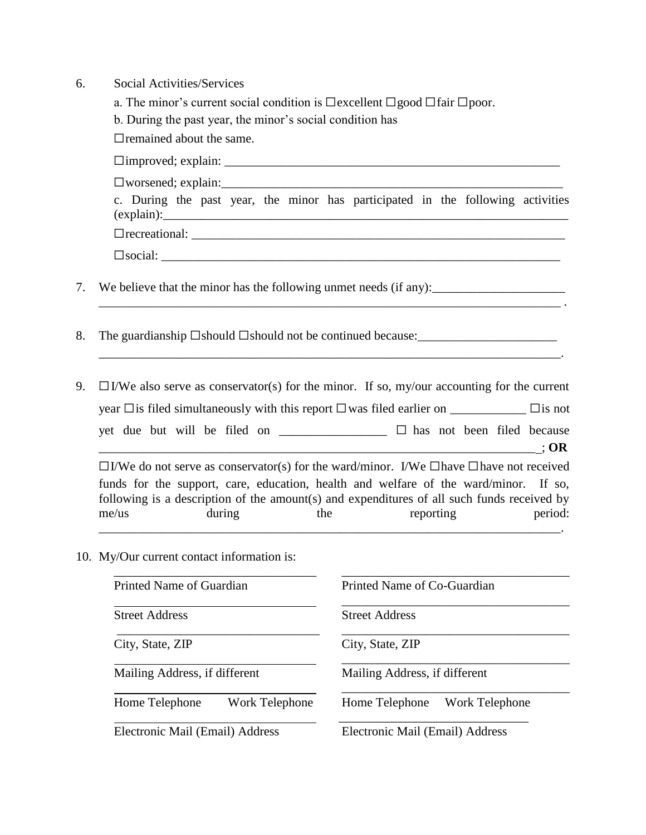- 6. Social Activities/Services
- a. The minor's current social condition is  $\Box$ excellent  $\Box$ good  $\Box$ fair  $\Box$ poor. b. During the past year, the minor's social condition has  $\Box$ remained about the same. ☐improved; explain: \_\_\_\_\_\_\_\_\_\_\_\_\_\_\_\_\_\_\_\_\_\_\_\_\_\_\_\_\_\_\_\_\_\_\_\_\_\_\_\_\_\_\_\_\_\_\_\_\_\_\_\_\_  $\square$ worsened; explain: c. During the past year, the minor has participated in the following activities  $(explain):$ ☐recreational: \_\_\_\_\_\_\_\_\_\_\_\_\_\_\_\_\_\_\_\_\_\_\_\_\_\_\_\_\_\_\_\_\_\_\_\_\_\_\_\_\_\_\_\_\_\_\_\_\_\_\_\_\_\_\_\_\_\_\_  $\square$ social: 7. We believe that the minor has the following unmet needs (if any):\_\_\_\_\_\_\_\_\_\_\_\_\_\_\_\_\_\_\_\_\_  $\mathcal{L}_\mathcal{L} = \mathcal{L}_\mathcal{L}$ 8. The guardianship  $\square$ should  $\square$ should not be continued because: $\_\_$ \_\_\_\_\_\_\_\_\_\_\_\_\_\_\_\_\_\_\_\_\_\_\_\_\_\_\_\_\_\_\_\_\_\_\_\_\_\_\_\_\_\_\_\_\_\_\_\_\_\_\_\_\_\_\_\_\_\_\_\_\_\_\_\_\_\_\_\_\_\_\_\_\_. 9.  $\Box$  I/We also serve as conservator(s) for the minor. If so, my/our accounting for the current year ☐is filed simultaneously with this report ☐was filed earlier on \_\_\_\_\_\_\_\_\_\_\_\_ ☐is not yet due but will be filed on \_\_\_\_\_\_\_\_\_\_\_\_\_\_\_\_\_ ☐ has not been filed because  $\therefore$  OR ☐I/We do not serve as conservator(s) for the ward/minor. I/We ☐have ☐have not received funds for the support, care, education, health and welfare of the ward/minor. If so, following is a description of the amount(s) and expenditures of all such funds received by me/us during the reporting period: \_\_\_\_\_\_\_\_\_\_\_\_\_\_\_\_\_\_\_\_\_\_\_\_\_\_\_\_\_\_\_\_\_\_\_\_\_\_\_\_\_\_\_\_\_\_\_\_\_\_\_\_\_\_\_\_\_\_\_\_\_\_\_\_\_\_\_\_\_\_\_\_\_.
- 10. My/Our current contact information is:

| Printed Name of Guardian         | Printed Name of Co-Guardian      |  |  |  |  |
|----------------------------------|----------------------------------|--|--|--|--|
| <b>Street Address</b>            | <b>Street Address</b>            |  |  |  |  |
| City, State, ZIP                 | City, State, ZIP                 |  |  |  |  |
| Mailing Address, if different    | Mailing Address, if different    |  |  |  |  |
| Home Telephone<br>Work Telephone | Work Telephone<br>Home Telephone |  |  |  |  |
| Electronic Mail (Email) Address  | Electronic Mail (Email) Address  |  |  |  |  |